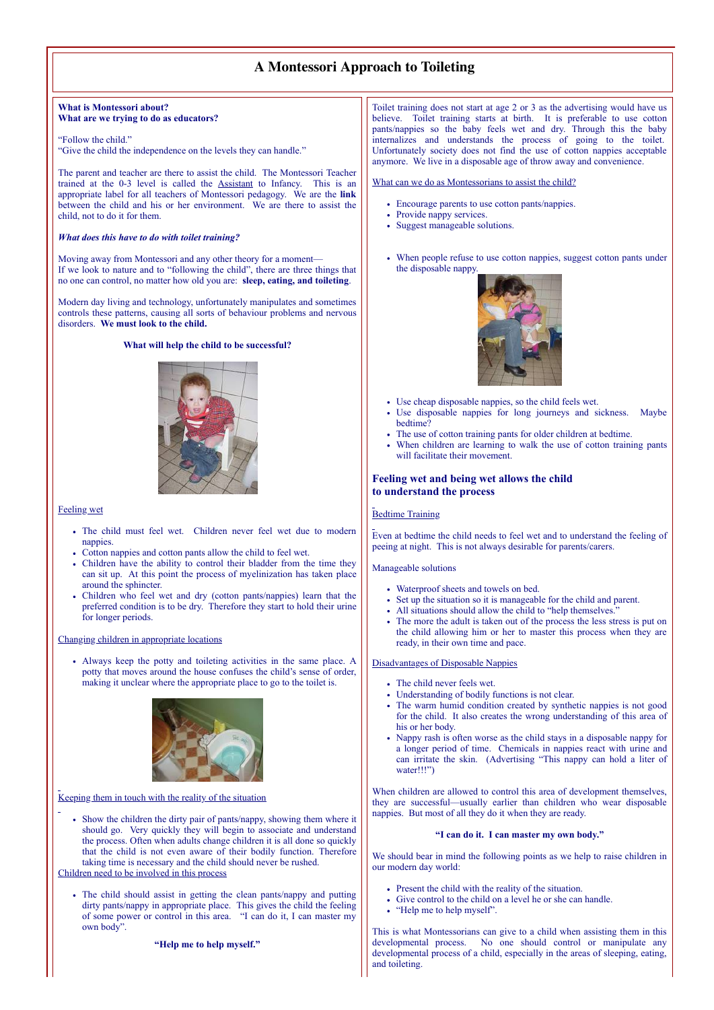# **A Montessori Approach to Toileting**

#### **What is Montessori about? What are we trying to do as educators?**

"Follow the child." "Give the child the independence on the levels they can handle."

The parent and teacher are there to assist the child. The Montessori Teacher trained at the 0-3 level is called the Assistant to Infancy. This is an appropriate label for all teachers of Montessori pedagogy. We are the **link** between the child and his or her environment. We are there to assist the child, not to do it for them.

### *What does this have to do with toilet training?*

Moving away from Montessori and any other theory for a moment— If we look to nature and to "following the child", there are three things that no one can control, no matter how old you are: **sleep, eating, and toileting**.

Modern day living and technology, unfortunately manipulates and sometimes controls these patterns, causing all sorts of behaviour problems and nervous disorders. **We must look to the child.**

# **What will help the child to be successful?**



#### Feeling wet

- The child must feel wet. Children never feel wet due to modern nappies.
- Cotton nappies and cotton pants allow the child to feel wet.
- Children have the ability to control their bladder from the time they can sit up. At this point the process of myelinization has taken place around the sphincter.
- Children who feel wet and dry (cotton pants/nappies) learn that the preferred condition is to be dry. Therefore they start to hold their urine for longer periods.

#### Changing children in appropriate locations

Always keep the potty and toileting activities in the same place. A potty that moves around the house confuses the child's sense of order, making it unclear where the appropriate place to go to the toilet is.



Keeping them in touch with the reality of the situation

• Show the children the dirty pair of pants/nappy, showing them where it should go. Very quickly they will begin to associate and understand the process. Often when adults change children it is all done so quickly that the child is not even aware of their bodily function. Therefore taking time is necessary and the child should never be rushed.

Children need to be involved in this process

The child should assist in getting the clean pants/nappy and putting dirty pants/nappy in appropriate place. This gives the child the feeling of some power or control in this area. "I can do it, I can master my own body".

#### **"Help me to help myself."**

Toilet training does not start at age 2 or 3 as the advertising would have us believe. Toilet training starts at birth. It is preferable to use cotton pants/nappies so the baby feels wet and dry. Through this the baby internalizes and understands the process of going to the toilet. Unfortunately society does not find the use of cotton nappies acceptable anymore. We live in a disposable age of throw away and convenience.

What can we do as Montessorians to assist the child?

- Encourage parents to use cotton pants/nappies.
- Provide nappy services.
- Suggest manageable solutions.
- When people refuse to use cotton nappies, suggest cotton pants under the disposable nappy.



- Use cheap disposable nappies, so the child feels wet.
- Use disposable nappies for long journeys and sickness. Maybe bedtime?
- The use of cotton training pants for older children at bedtime.
- When children are learning to walk the use of cotton training pants will facilitate their movement.

# **Feeling wet and being wet allows the child to understand the process**

# **Bedtime Training**

Even at bedtime the child needs to feel wet and to understand the feeling of peeing at night. This is not always desirable for parents/carers.

Manageable solutions

- Waterproof sheets and towels on bed.
- $\ddot{\phantom{0}}$ Set up the situation so it is manageable for the child and parent.
- All situations should allow the child to "help themselves."
- The more the adult is taken out of the process the less stress is put on the child allowing him or her to master this process when they are ready, in their own time and pace.

# Disadvantages of Disposable Nappies

- The child never feels wet.
- Understanding of bodily functions is not clear.
- The warm humid condition created by synthetic nappies is not good for the child. It also creates the wrong understanding of this area of his or her body.
- Nappy rash is often worse as the child stays in a disposable nappy for a longer period of time. Chemicals in nappies react with urine and can irritate the skin. (Advertising "This nappy can hold a liter of water!!!")

When children are allowed to control this area of development themselves, they are successful—usually earlier than children who wear disposable nappies. But most of all they do it when they are ready.

# **"I can do it. I can master my own body."**

We should bear in mind the following points as we help to raise children in our modern day world:

- Present the child with the reality of the situation.
- Give control to the child on a level he or she can handle.
- "Help me to help myself".

This is what Montessorians can give to a child when assisting them in this developmental process. No one should control or manipulate any developmental process of a child, especially in the areas of sleeping, eating, and toileting.